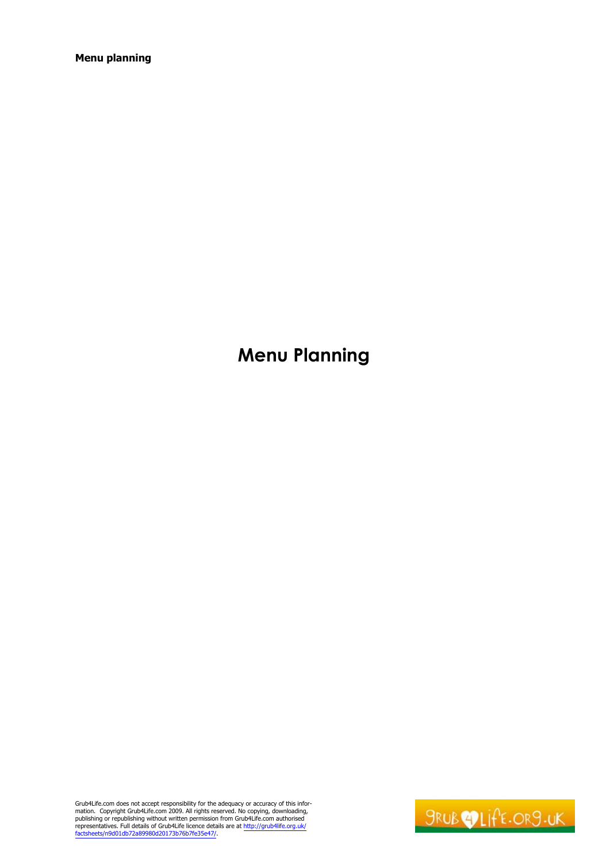# **Menu Planning**

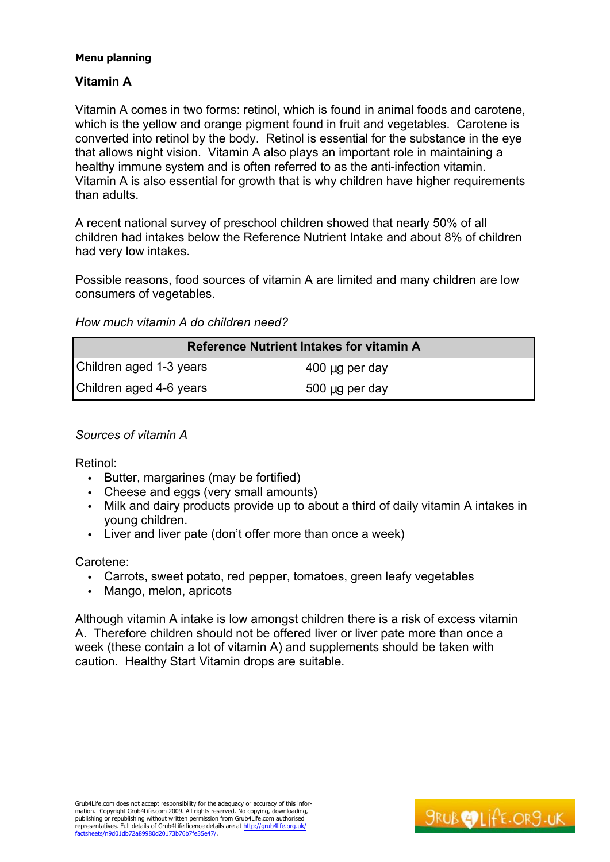# **Vitamin A**

Vitamin A comes in two forms: retinol, which is found in animal foods and carotene, which is the yellow and orange pigment found in fruit and vegetables. Carotene is converted into retinol by the body. Retinol is essential for the substance in the eye that allows night vision. Vitamin A also plays an important role in maintaining a healthy immune system and is often referred to as the anti-infection vitamin. Vitamin A is also essential for growth that is why children have higher requirements than adults.

A recent national survey of preschool children showed that nearly 50% of all children had intakes below the Reference Nutrient Intake and about 8% of children had very low intakes.

Possible reasons, food sources of vitamin A are limited and many children are low consumers of vegetables.

*How much vitamin A do children need?*

|                         | <b>Reference Nutrient Intakes for vitamin A</b> |
|-------------------------|-------------------------------------------------|
| Children aged 1-3 years | $400 \mu g$ per day                             |
| Children aged 4-6 years | $500 \mu g$ per day                             |

*Sources of vitamin A*

Retinol:

- Butter, margarines (may be fortified)
- Cheese and eggs (very small amounts)
- Milk and dairy products provide up to about a third of daily vitamin A intakes in young children.
- Liver and liver pate (don't offer more than once a week)

Carotene:

- Carrots, sweet potato, red pepper, tomatoes, green leafy vegetables
- Mango, melon, apricots

Although vitamin A intake is low amongst children there is a risk of excess vitamin A. Therefore children should not be offered liver or liver pate more than once a week (these contain a lot of vitamin A) and supplements should be taken with caution. Healthy Start Vitamin drops are suitable.

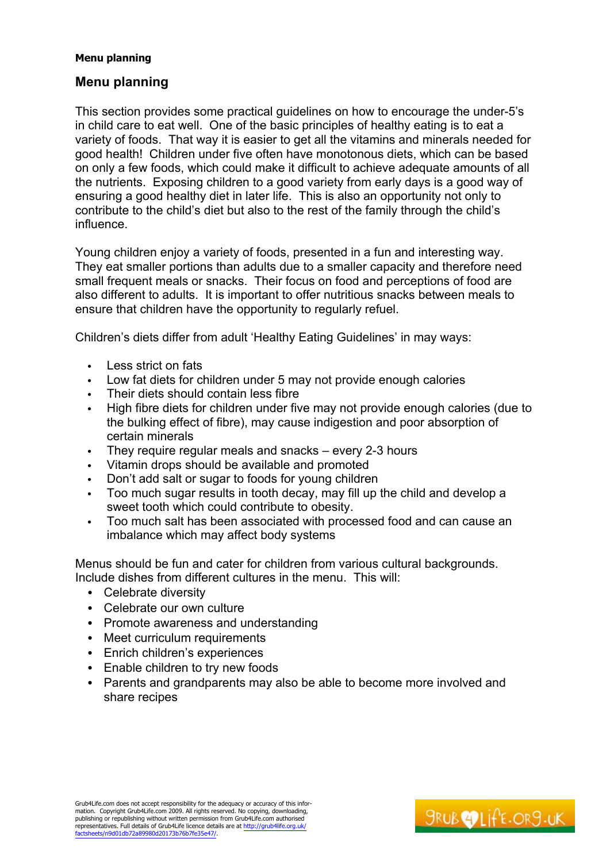# **Menu planning**

This section provides some practical guidelines on how to encourage the under-5's in child care to eat well. One of the basic principles of healthy eating is to eat a variety of foods. That way it is easier to get all the vitamins and minerals needed for good health! Children under five often have monotonous diets, which can be based on only a few foods, which could make it difficult to achieve adequate amounts of all the nutrients. Exposing children to a good variety from early days is a good way of ensuring a good healthy diet in later life. This is also an opportunity not only to contribute to the child's diet but also to the rest of the family through the child's influence.

Young children enjoy a variety of foods, presented in a fun and interesting way. They eat smaller portions than adults due to a smaller capacity and therefore need small frequent meals or snacks. Their focus on food and perceptions of food are also different to adults. It is important to offer nutritious snacks between meals to ensure that children have the opportunity to regularly refuel.

Children's diets differ from adult 'Healthy Eating Guidelines' in may ways:

- Less strict on fats
- Low fat diets for children under 5 may not provide enough calories
- Their diets should contain less fibre
- High fibre diets for children under five may not provide enough calories (due to the bulking effect of fibre), may cause indigestion and poor absorption of certain minerals
- They require requiar meals and snacks  $-$  every 2-3 hours
- Vitamin drops should be available and promoted
- Don't add salt or sugar to foods for young children
- Too much sugar results in tooth decay, may fill up the child and develop a sweet tooth which could contribute to obesity.
- Too much salt has been associated with processed food and can cause an imbalance which may affect body systems

Menus should be fun and cater for children from various cultural backgrounds. Include dishes from different cultures in the menu. This will:

- Celebrate diversity
- Celebrate our own culture
- Promote awareness and understanding
- Meet curriculum requirements
- Enrich children's experiences
- Enable children to try new foods
- Parents and grandparents may also be able to become more involved and share recipes

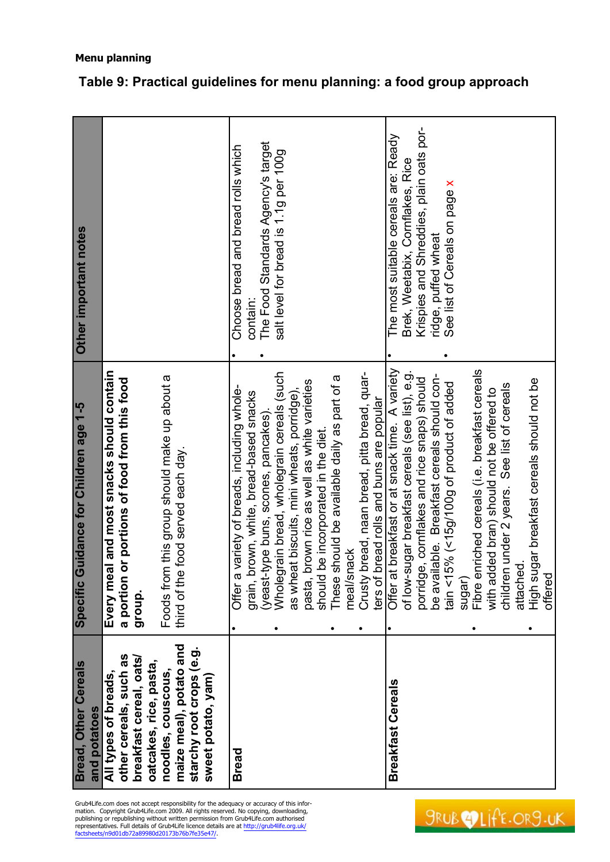| <b>Bread, Other Cereals</b><br>and potatoes                                                                                 | Specific Guidance for Children age 1-5                                                                 | Other important notes                                                       |
|-----------------------------------------------------------------------------------------------------------------------------|--------------------------------------------------------------------------------------------------------|-----------------------------------------------------------------------------|
| other cereals, such as<br>breakfast cereal, oats/<br>All types of breads,                                                   | Every meal and most snacks should contain<br>or portions of food from this food<br>a portion<br>group. |                                                                             |
| and<br>starchy root crops (e.g.<br>oatcakes, rice, pasta,<br>maize meal), potato<br>noodles, couscous<br>sweet potato, yam) | Foods from this group should make up about a<br>third of the food served each day.                     |                                                                             |
| <b>Bread</b>                                                                                                                | variety of breads, including whole-<br>Offer a                                                         | Choose bread and bread rolls which                                          |
|                                                                                                                             | brown, white, bread-based snacks<br>grain, t                                                           | contain:                                                                    |
|                                                                                                                             | Wholegrain bread, wholegrain cereals (such<br>(yeast-type buns, scones, pancakes)                      | The Food Standards Agency's target<br>salt level for bread is 1.1g per 100g |
|                                                                                                                             | as wheat biscuits, mini wheats, porridge),                                                             |                                                                             |
|                                                                                                                             | brown rice as well as white varieties<br>be incorporated in the diet<br>pasta,<br>should               |                                                                             |
|                                                                                                                             | should be available daily as part of a<br>These:                                                       |                                                                             |
|                                                                                                                             | meal/snack                                                                                             |                                                                             |
|                                                                                                                             | Crusty bread, naan bread, pitta bread, quar-                                                           |                                                                             |
|                                                                                                                             | ters of bread rolls and buns are popular                                                               |                                                                             |
| <b>Breakfast Cereals</b>                                                                                                    | Offer at breakfast or at snack time. A variety                                                         | The most suitable cereals are: Ready                                        |
|                                                                                                                             | of low-sugar breakfast cereals (see list), e.g.                                                        | Brek, Weetabix, Cornflakes, Rice                                            |
|                                                                                                                             | porridge, cornflakes and rice snaps) should                                                            | Krispies and Shreddies, plain oats por-                                     |
|                                                                                                                             | be available. Breakfast cereals should con-<br>5% (<15g/100g of product of added<br>tain $\leq$ 1      | See list of Cereals on page x<br>ridge, puffed wheat                        |
|                                                                                                                             | sugar)                                                                                                 |                                                                             |
|                                                                                                                             | Fibre enriched cereals (i.e. breakfast cereals                                                         |                                                                             |
|                                                                                                                             | with added bran) should not be offered to                                                              |                                                                             |
|                                                                                                                             | children under 2 years. See list of cereals                                                            |                                                                             |
|                                                                                                                             | attached                                                                                               |                                                                             |
|                                                                                                                             | High sugar breakfast cereals should not be<br>offered                                                  |                                                                             |
|                                                                                                                             |                                                                                                        |                                                                             |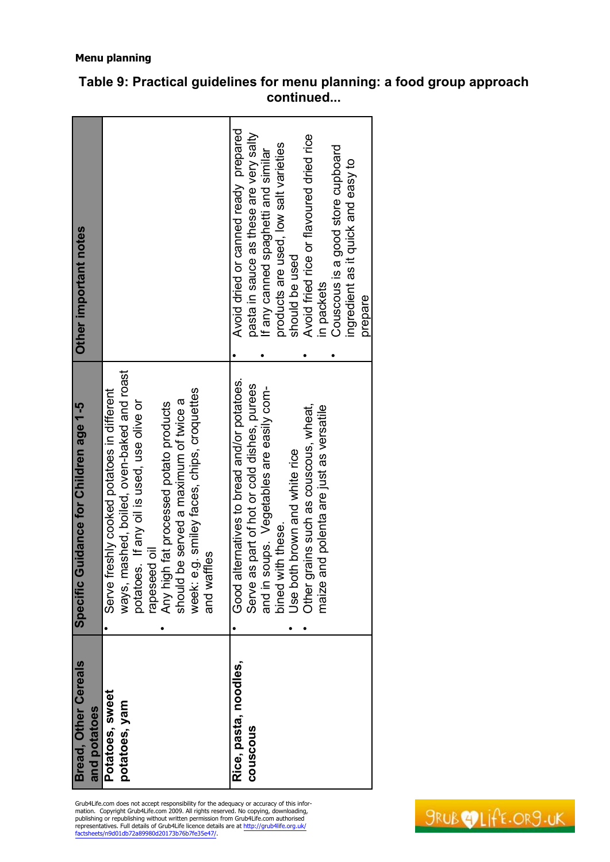| <b>Bread, Other Cereals</b><br>and potatoes | Specific Guidance for Children age 1-5                                                                                                                                                                                                                                                                 | Other important notes                                                                                                                                                                                                                                                                                                            |
|---------------------------------------------|--------------------------------------------------------------------------------------------------------------------------------------------------------------------------------------------------------------------------------------------------------------------------------------------------------|----------------------------------------------------------------------------------------------------------------------------------------------------------------------------------------------------------------------------------------------------------------------------------------------------------------------------------|
| Potatoes, sweet<br>potatoes, yam            | ways, mashed, boiled, oven-baked and roast<br>week: e.g. smiley faces, chips, croquettes<br>Serve freshly cooked potatoes in different<br>should be served a maximum of twice a<br>potatoes. If any oil is used, use olive or<br>Any high fat processed potato products<br>rapeseed oil<br>and waffles |                                                                                                                                                                                                                                                                                                                                  |
| Rice, pasta, noodles,<br>couscous           | Good alternatives to bread and/or potatoes.<br>Serve as part of hot or cold dishes, purees<br>and in soups. Vegetables are easily com-<br>Other grains such as couscous, wheat,<br>maize and polenta are just as versatile<br>Use both brown and white rice<br>bined with these.                       | Avoid dried or canned ready prepared<br>pasta in sauce as these are very salty<br>Avoid fried rice or flavoured dried rice<br>products are used, low salt varieties<br>Couscous is a good store cupboard<br>If any canned spaghetti and similar<br>ingredient as it quick and easy to<br>should be used<br>in packets<br>prepare |

Grub4Life.com does not accept responsibility for the adequacy or accuracy of this information. Copyright Grub4Life.com 2009. All rights reserved. No copying, downloading, publishing or republishing without written permissi

SRUBOLIFE.OR9.UK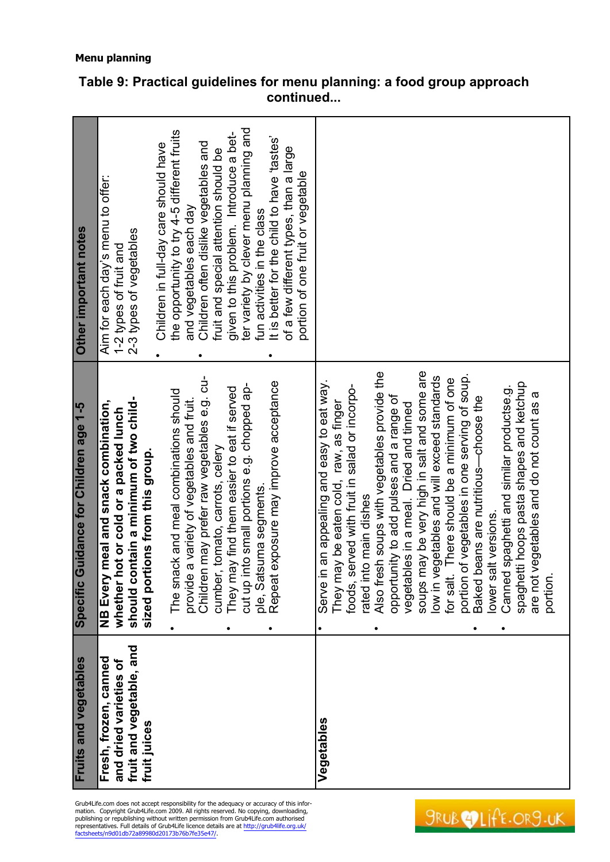| Fruits and vegetables                           | Specific Guidance for Children age 1-5                                                    | Other important notes                                                      |
|-------------------------------------------------|-------------------------------------------------------------------------------------------|----------------------------------------------------------------------------|
| Fresh, frozen, canned<br>and dried varieties of | meal and snack combination,<br>whether hot or cold or a packed lunch<br>NB Every          | Aim for each day's menu to offer:<br>1-2 types of fruit and                |
| fruit and vegetable, and<br>fruit juices        | should contain a minimum of two child-<br>sized portions from this group.                 | 2-3 types of vegetables                                                    |
|                                                 |                                                                                           | Children in full-day care should have                                      |
|                                                 | The snack and meal combinations should                                                    | the opportunity to try 4-5 different fruits                                |
|                                                 | Children may prefer raw vegetables e.g. cu-<br>provide a variety of vegetables and fruit. | Children often dislike vegetables and<br>and vegetables each day           |
|                                                 | cumber, tomato, carrots, celery                                                           | fruit and special attention should be                                      |
|                                                 | They may find them easier to eat if served                                                | given to this problem. Introduce a bet-                                    |
|                                                 | cut up into small portions e.g. chopped ap-                                               | ter variety by clever menu planning and                                    |
|                                                 | exposure may improve acceptance<br>ple, Satsuma segments.<br>Repeat                       | It is better for the child to have 'tastes'<br>fun activities in the class |
|                                                 |                                                                                           | of a few different types, than a large                                     |
|                                                 |                                                                                           | portion of one fruit or vegetable                                          |
| Vegetables                                      | Serve in an appealing and easy to eat way.                                                |                                                                            |
|                                                 | They may be eaten cold, raw, as finger                                                    |                                                                            |
|                                                 | foods, served with fruit in salad or incorpo-                                             |                                                                            |
|                                                 | rated into main dishes                                                                    |                                                                            |
|                                                 | Also fresh soups with vegetables provide the                                              |                                                                            |
|                                                 | opportunity to add pulses and a range of                                                  |                                                                            |
|                                                 | vegetables in a meal. Dried and tinned                                                    |                                                                            |
|                                                 | soups may be very high in salt and some are                                               |                                                                            |
|                                                 | low in vegetables and will exceed standards                                               |                                                                            |
|                                                 | There should be a minimum of one<br>for salt.                                             |                                                                            |
|                                                 | portion of vegetables in one serving of soup.                                             |                                                                            |
|                                                 | beans are nutritious—choose the<br>Baked b                                                |                                                                            |
|                                                 | lower salt versions.                                                                      |                                                                            |
|                                                 | Canned spaghetti and similar productse.g.                                                 |                                                                            |
|                                                 | spaghetti hoops pasta shapes and ketchup<br>are not vegetables and do not count as a      |                                                                            |
|                                                 | portion.                                                                                  |                                                                            |
|                                                 |                                                                                           |                                                                            |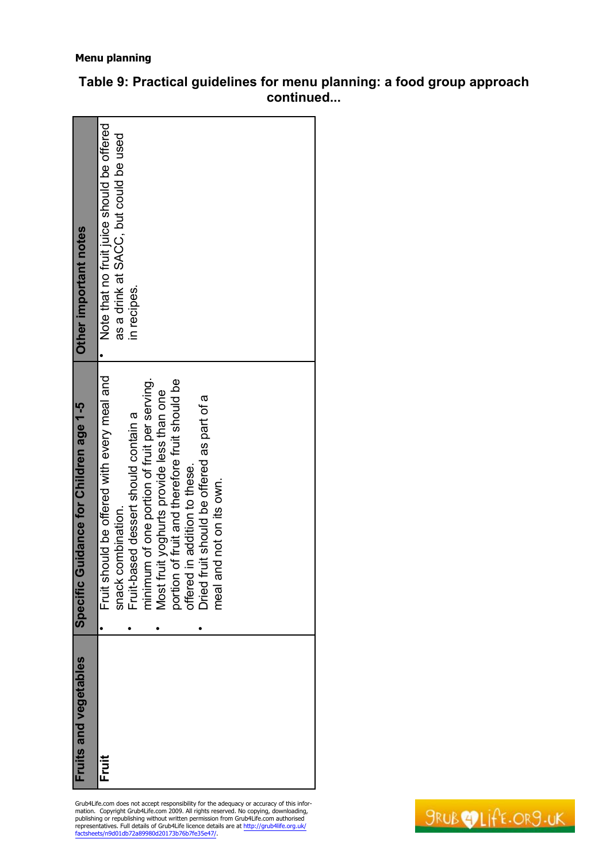| Grub4Life.com does not accept responsibility for the adequacy or accuracy of this infor-<br>mation. Copyright Grub4Life.com 2009. All rights reserved. No copying, downloading,<br>publishing or republishing without written permission from Grub4Life.com authorised<br>representatives. Full details of Grub4Life licence details are at http://grub4life.org.uk/<br>factsheets/n9d01db72a89980d20173b76b7fe35e47/. | Fruits and vegetables | <b>Guidance for Children age 1-5</b><br><b>Specific</b>                        | Other important notes                      |
|------------------------------------------------------------------------------------------------------------------------------------------------------------------------------------------------------------------------------------------------------------------------------------------------------------------------------------------------------------------------------------------------------------------------|-----------------------|--------------------------------------------------------------------------------|--------------------------------------------|
|                                                                                                                                                                                                                                                                                                                                                                                                                        | Fruit                 | nould be offered with every meal and<br>Fruit sł                               | Note that no fruit juice should be offered |
|                                                                                                                                                                                                                                                                                                                                                                                                                        |                       | combination.<br>snack                                                          | as a drink at SACC, but could be used      |
|                                                                                                                                                                                                                                                                                                                                                                                                                        |                       | Fruit-based dessert should contain a                                           | in recipes.                                |
|                                                                                                                                                                                                                                                                                                                                                                                                                        |                       | minimum of one portion of fruit per serving.                                   |                                            |
|                                                                                                                                                                                                                                                                                                                                                                                                                        |                       | uit yoghurts provide less than one<br>Most fr                                  |                                            |
|                                                                                                                                                                                                                                                                                                                                                                                                                        |                       | portion of fruit and therefore fruit should be<br>offered in addition to these |                                            |
|                                                                                                                                                                                                                                                                                                                                                                                                                        |                       |                                                                                |                                            |
|                                                                                                                                                                                                                                                                                                                                                                                                                        |                       | ruit should be offered as part of a<br>Dried f                                 |                                            |
|                                                                                                                                                                                                                                                                                                                                                                                                                        |                       | nd not on its own.<br>σ<br>neal                                                |                                            |
|                                                                                                                                                                                                                                                                                                                                                                                                                        |                       |                                                                                |                                            |
|                                                                                                                                                                                                                                                                                                                                                                                                                        |                       |                                                                                |                                            |
|                                                                                                                                                                                                                                                                                                                                                                                                                        |                       |                                                                                |                                            |
|                                                                                                                                                                                                                                                                                                                                                                                                                        |                       |                                                                                |                                            |
|                                                                                                                                                                                                                                                                                                                                                                                                                        |                       |                                                                                |                                            |
|                                                                                                                                                                                                                                                                                                                                                                                                                        |                       |                                                                                |                                            |
|                                                                                                                                                                                                                                                                                                                                                                                                                        |                       |                                                                                |                                            |

**Table 9: Practical guidelines for menu planning: a food group approach continued...**

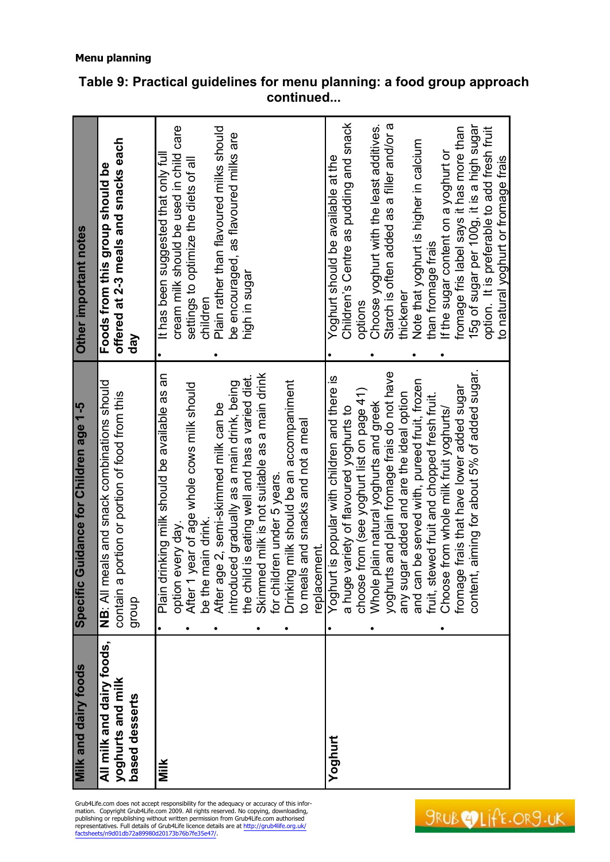| Milk and dairy foods                                             | <b>Guidance for Children age 1-5</b><br>Specific                                                                                                                                            | Other important notes                                                                                                                            |
|------------------------------------------------------------------|---------------------------------------------------------------------------------------------------------------------------------------------------------------------------------------------|--------------------------------------------------------------------------------------------------------------------------------------------------|
| All milk and dairy foods,<br>yoghurts and milk<br>based desserts | NB: All meals and snack combinations should<br>portion or portion of food from this<br>contain a<br>dionb                                                                                   | offered at 2-3 meals and snacks each<br>Foods from this group should be<br>day                                                                   |
| Milk                                                             | rinking milk should be available as an<br>year of age whole cows milk should<br>main drink.<br>every day.<br>Plain d<br>be the<br>option<br>After <sub>1</sub><br>$\bullet$                 | cream milk should be used in child care<br>It has been suggested that only ful<br>settings to optimize the diets of all<br>children<br>$\bullet$ |
|                                                                  | Skimmed milk is not suitable as a main drink<br>d is eating well and has a varied diet.<br>introduced gradually as a main drink, being<br>After age 2, semi-skimmed milk can be<br>the chil | Plain rather than flavoured milks should<br>be encouraged, as flavoured milks are<br>high in sugar                                               |
|                                                                  | Drinking milk should be an accompaniment<br>to meals and snacks and not a meal<br>for children under 5 years.<br>replacement.                                                               |                                                                                                                                                  |
| Yoghurt                                                          | Yoghurt is popular with children and there is<br>choose from (see yoghurt list on page 41)<br>a huge variety of flavoured yoghurts to                                                       | Children's Centre as pudding and snack<br>Yoghurt should be available at the<br>options                                                          |
|                                                                  | yoghurts and plain fromage frais do not have<br>any sugar added and are the ideal option<br>plain natural yoghurts and greek<br>Whole                                                       | Choose yoghurt with the least additives.<br>Starch is often added as a filler and/or a<br>thickener                                              |
|                                                                  | and can be served with, pureed fruit, frozen<br>fruit, stewed fruit and chopped fresh fruit.<br>Choose from whole milk fruit yoghurts/                                                      | Note that yoghurt is higher in calcium<br>If the sugar content on a yoghurt or<br>than fromage frais                                             |
|                                                                  | t, aiming for about 5% of added sugar.<br>fromage frais that have lower added sugar<br>content                                                                                              | 15g of sugar per 100g, it is a high sugar<br>fromage fris label says it has more than<br>option. It is preferable to add fresh fruit             |
|                                                                  |                                                                                                                                                                                             | to natural yoghurt or fromage frais                                                                                                              |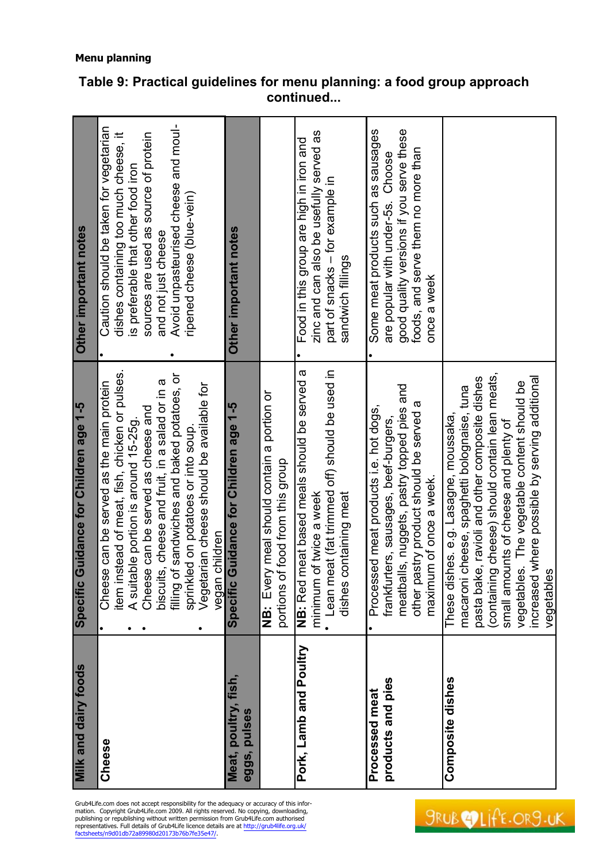| Grub4Life.com does not accept responsibility for the adequacy or accuracy of this infor-<br>mation. Copyright Grub4Life.com 2009. All rights reserved. No copying, downloading,<br>publishing or republishing without written permission from Grub4Life.com authorised<br>representatives. Full details of Grub4Life licence details are at http://grub4life.org.uk/<br>factsheets/n9d01db72a89980d20173b76b7fe35e47/. | Milk and dairy foods   | <b>Guidance for Children age 1-5</b><br><b>Specific</b>      | Other important notes                               |
|------------------------------------------------------------------------------------------------------------------------------------------------------------------------------------------------------------------------------------------------------------------------------------------------------------------------------------------------------------------------------------------------------------------------|------------------------|--------------------------------------------------------------|-----------------------------------------------------|
|                                                                                                                                                                                                                                                                                                                                                                                                                        | Cheese                 | Cheese can be served as the main protein<br>$\bullet$        | Caution should be taken for vegetarian<br>$\bullet$ |
|                                                                                                                                                                                                                                                                                                                                                                                                                        |                        | item instead of meat, fish, chicken or pulses.               | dishes containing too much cheese, it               |
|                                                                                                                                                                                                                                                                                                                                                                                                                        |                        | A suitable portion is around 15-25g.                         | is preferable that other food iron                  |
|                                                                                                                                                                                                                                                                                                                                                                                                                        |                        | Cheese can be served as cheese and                           | sources are used as source of protein               |
|                                                                                                                                                                                                                                                                                                                                                                                                                        |                        | biscuits, cheese and fruit, in a salad or in a               | and not just cheese                                 |
|                                                                                                                                                                                                                                                                                                                                                                                                                        |                        | filling of sandwiches and baked potatoes, or                 | Avoid unpasteurised cheese and moul-                |
|                                                                                                                                                                                                                                                                                                                                                                                                                        |                        | ed on potatoes or into soup.<br>sprinkl                      | ripened cheese (blue-vein)                          |
|                                                                                                                                                                                                                                                                                                                                                                                                                        |                        | Vegetarian cheese should be available for                    |                                                     |
|                                                                                                                                                                                                                                                                                                                                                                                                                        |                        | children<br>vegan                                            |                                                     |
|                                                                                                                                                                                                                                                                                                                                                                                                                        | msu<br>poultr<br>Meal  | Guidance for Children age 1-5<br>Specific                    | Other important notes                               |
|                                                                                                                                                                                                                                                                                                                                                                                                                        | pulses<br>eggs,        |                                                              |                                                     |
|                                                                                                                                                                                                                                                                                                                                                                                                                        |                        | y meal should contain a portion or<br>Ever<br>ö<br>Z         |                                                     |
|                                                                                                                                                                                                                                                                                                                                                                                                                        |                        | portions of food from this group                             |                                                     |
|                                                                                                                                                                                                                                                                                                                                                                                                                        | Pork, Lamb and Poultry | meat based meals should be served a<br>NB: Red               | Food in this group are high in iron and             |
|                                                                                                                                                                                                                                                                                                                                                                                                                        |                        | of twice a week<br>minimum                                   | zinc and can also be usefully served as             |
|                                                                                                                                                                                                                                                                                                                                                                                                                        |                        | eat (fat trimmed off) should be used in<br>Lean <sub>m</sub> | part of snacks - for example in                     |
|                                                                                                                                                                                                                                                                                                                                                                                                                        |                        | containing meat<br>dishes                                    | sandwich fillings                                   |
|                                                                                                                                                                                                                                                                                                                                                                                                                        |                        |                                                              |                                                     |
|                                                                                                                                                                                                                                                                                                                                                                                                                        | Processed meat         | Processed meat products i.e. hot dogs,<br>$\bullet$          | Some meat products such as sausages                 |
|                                                                                                                                                                                                                                                                                                                                                                                                                        | pies<br>products and   | ters, sausages, beef-burgers,<br>frankfur                    | are popular with under-5s. Choose                   |
|                                                                                                                                                                                                                                                                                                                                                                                                                        |                        | Ils, nuggets, pastry topped pies and<br>meatba               | good quality versions if you serve these            |
|                                                                                                                                                                                                                                                                                                                                                                                                                        |                        | other pastry product should be served a                      | foods, and serve them no more than                  |
|                                                                                                                                                                                                                                                                                                                                                                                                                        |                        | im of once a week.<br>maximu                                 | once a week                                         |
|                                                                                                                                                                                                                                                                                                                                                                                                                        | Composite dishes       | These dishes. e.g. Lasagne, moussaka,                        |                                                     |
|                                                                                                                                                                                                                                                                                                                                                                                                                        |                        | cheese, spaghetti bolognaise, tuna<br>macaroni               |                                                     |
|                                                                                                                                                                                                                                                                                                                                                                                                                        |                        | pasta bake, ravioli and other composite dishes               |                                                     |
|                                                                                                                                                                                                                                                                                                                                                                                                                        |                        | (containing cheese) should contain lean meats,               |                                                     |
|                                                                                                                                                                                                                                                                                                                                                                                                                        |                        | small amounts of cheese and plenty of                        |                                                     |
| <b>COLIFE.OR9.U</b>                                                                                                                                                                                                                                                                                                                                                                                                    |                        | vegetables. The vegetable content should be                  |                                                     |
|                                                                                                                                                                                                                                                                                                                                                                                                                        |                        | increased where possible by serving additional               |                                                     |
|                                                                                                                                                                                                                                                                                                                                                                                                                        |                        | vegetables                                                   |                                                     |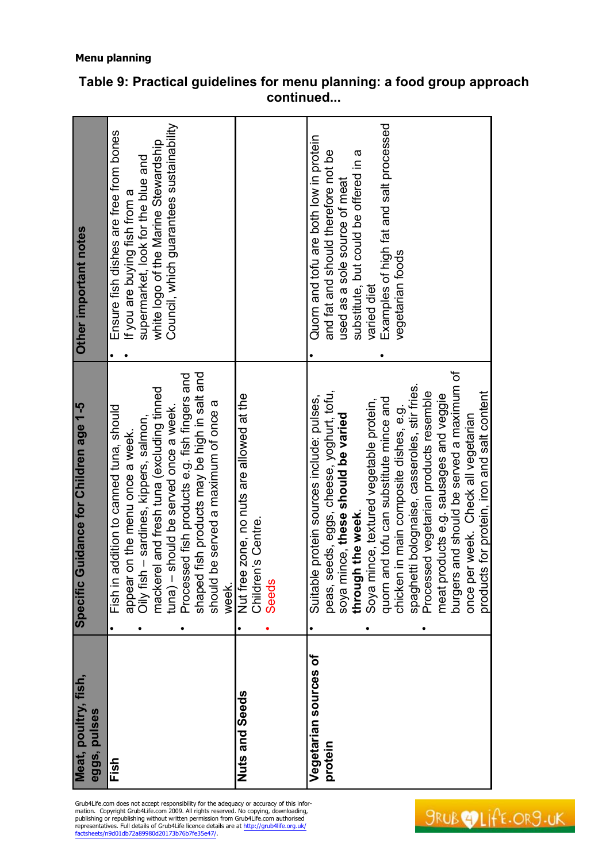| Meat, poultry, fish,<br>eggs, pulses | Specific Guidance for Children age 1-5                                                                                                                                                                                                                                                                                                                                                                                                                                                                                                                     | Other important notes                                                                                                                                                                                                                 |
|--------------------------------------|------------------------------------------------------------------------------------------------------------------------------------------------------------------------------------------------------------------------------------------------------------------------------------------------------------------------------------------------------------------------------------------------------------------------------------------------------------------------------------------------------------------------------------------------------------|---------------------------------------------------------------------------------------------------------------------------------------------------------------------------------------------------------------------------------------|
| Fish                                 | shaped fish products may be high in salt and<br>Processed fish products e.g. fish fingers and<br>mackerel and fresh tuna (excluding tinned<br>be served a maximum of once a<br>addition to canned tuna, should<br>should be served once a week.<br>Oily fish - sardines, kippers, salmon<br>appear on the menu once a week.<br>$t$ una $)$ –<br>should<br>Fish in<br>week.                                                                                                                                                                                 | Council, which guarantees sustainability<br>Ensure fish dishes are free from bones<br>white logo of the Marine Stewardship<br>supermarket, look for the blue and<br>If you are buying fish from a                                     |
| <b>Nuts and Seeds</b>                | Nut free zone, no nuts are allowed at the<br>Children's Centre.<br><b>Seeds</b>                                                                                                                                                                                                                                                                                                                                                                                                                                                                            |                                                                                                                                                                                                                                       |
| Vegetarian sources of<br>protein     | and should be served a maximum of<br>spaghetti bolognaise, casseroles, stir fries.<br>products for protein, iron and salt content<br>peas, seeds, eggs, cheese, yoghrt, tofu,<br>Processed vegetarian products resemble<br>meat products e.g. sausages and vegge<br>Suitable protein sources include: pulses,<br>quorn and tofu can substitute mince and<br>Soya mince, textured vegetable protein,<br>chicken in main composite dishes, e.g.<br>soya mince, these should be varied<br>once per week. Check all vegetarian<br>through the week.<br>burgers | Examples of high fat and salt processed<br>Quorn and tofu are both low in protein<br>and fat and should therefore not be<br>substitute, but could be offered in a<br>used as a sole source of meat<br>vegetarian foods<br>varied diet |

Grub4Life.com does not accept responsibility for the adequacy or accuracy of this information. Copyright Grub4Life.com 2009. All rights reserved. No copying, downloading, publishing or republishing without written permissi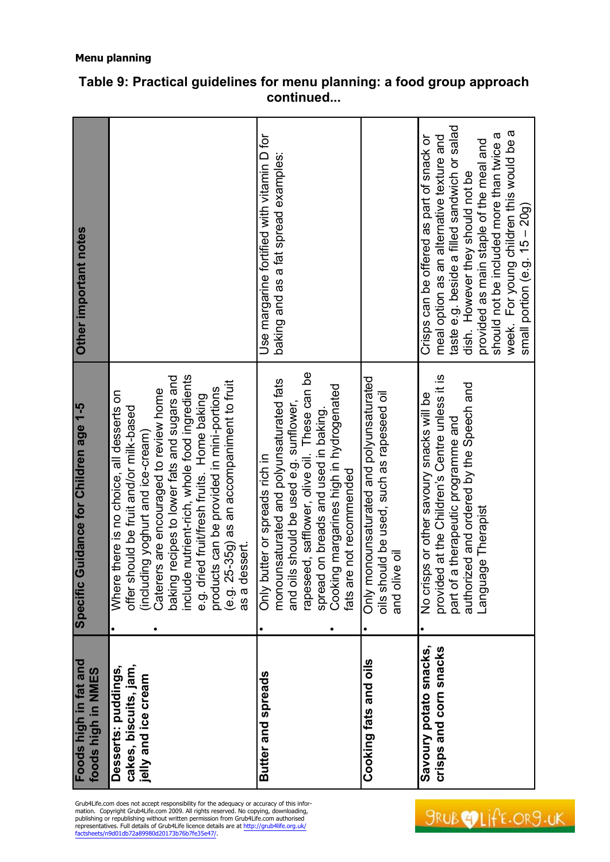| Other important notes                       |                                                                                                                                                                                                                                                                                                                                                                                                                                             | Use margarine fortified with vitamin D for<br>baking and as a fat spread examples:                                                                                                                                                                                                             |                                                                                                       | taste e.g. beside a filled sandwich or salad<br>week. For young children this would be a<br>should not be included more than twice a<br>meal option as an alternative texture and<br>Crisps can be offered as part of snack or<br>provided as main staple of the meal and<br>dish. However they should not be<br>small portion (e.g. $15 - 20g$ ) |
|---------------------------------------------|---------------------------------------------------------------------------------------------------------------------------------------------------------------------------------------------------------------------------------------------------------------------------------------------------------------------------------------------------------------------------------------------------------------------------------------------|------------------------------------------------------------------------------------------------------------------------------------------------------------------------------------------------------------------------------------------------------------------------------------------------|-------------------------------------------------------------------------------------------------------|---------------------------------------------------------------------------------------------------------------------------------------------------------------------------------------------------------------------------------------------------------------------------------------------------------------------------------------------------|
| Specific Guidance for Children age 1-5      | include nutrient-rich, whole food ingredients<br>baking recipes to lower fats and sugars and<br>(e.g. 25-35g) as an accompaniment to fruit<br>products can be provided in mini-portions<br>Caterers are encouraged to review home<br>e there is no choice, all desserts on<br>e.g. dried fruit/fresh fruits. Home baking<br>should be fruit and/or milk-based<br>(including yoghurt and ice-cream)<br>dessert.<br>as a c<br>Wher<br>offer s | and oils should be used e.g. sunflower,<br>rapeseed, safflower, olive oil. These can be<br>monounsaturated and polyunsaturated fats<br>Cooking margarines high in hydrogenated<br>spread on breads and used in baking.<br>butter or spreads rich in<br>fats are not recommended<br><b>Only</b> | Only monounsaturated and polyunsaturated<br>oils should be used, such as rapeseed oil<br>and olive oi | provided at the Children's Centre unless it is<br>authorized and ordered by the Speech and<br>No crisps or other savoury snacks will be<br>part of a therapeutic programme and<br>lage Therapist<br>Langua                                                                                                                                        |
| Foods high in fat and<br>foods high in NMES | cakes, biscuits, jam,<br>Desserts: puddings,<br>jelly and ice cream                                                                                                                                                                                                                                                                                                                                                                         | Butter and spreads                                                                                                                                                                                                                                                                             | Cooking fats and oils                                                                                 | Savoury potato snacks,<br>crisps and corn snacks                                                                                                                                                                                                                                                                                                  |

Grub4Life.com does not accept responsibility for the adequacy or accuracy of this information. Copyright Grub4Life.com 2009. All rights reserved. No copying, downloading, publishing or republishing without written permissi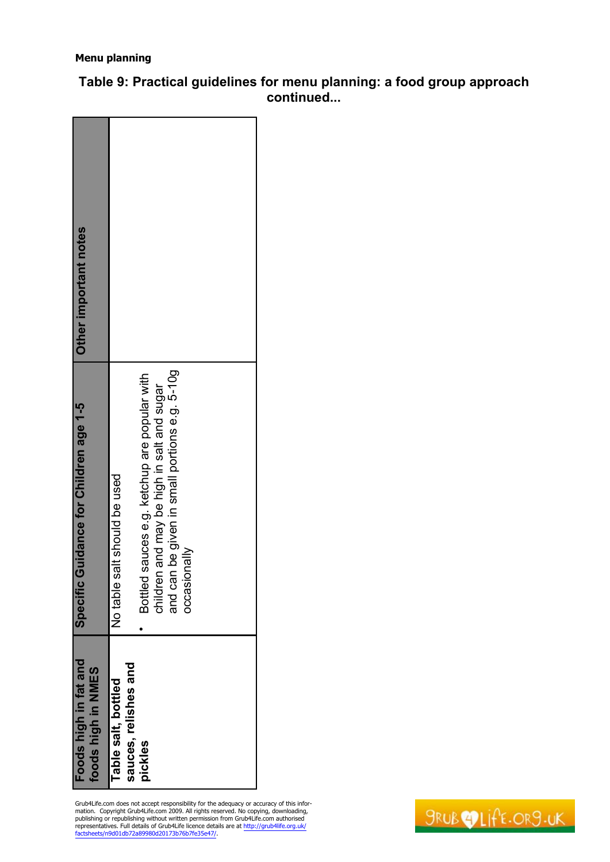| Foods high in fat and<br>foods high in NMES | Guidance for Children age 1-5<br><b>Specific</b>                                                                                                               | Other important notes |
|---------------------------------------------|----------------------------------------------------------------------------------------------------------------------------------------------------------------|-----------------------|
| sauces, relishes and<br>Table salt, bottled | salt should be used<br>No table                                                                                                                                |                       |
| pickles                                     | and can be given in small portions e.g. 5-10g<br>sauces e.g. ketchup are popular with<br>children and may be high in salt and sugar<br>vilsnoiasaoc<br>Bottled |                       |

**Table 9: Practical guidelines for menu planning: a food group approach continued...**

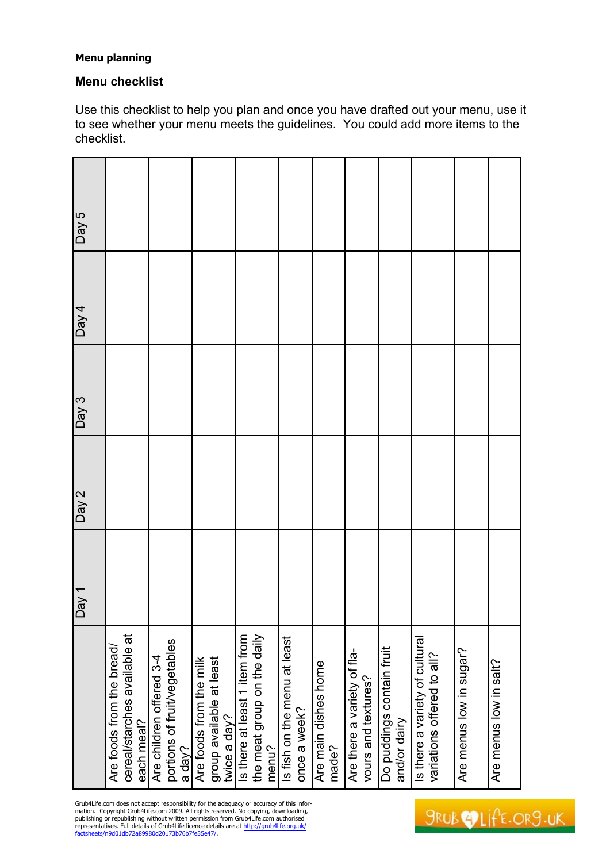# **Menu checklist**

Use this checklist to help you plan and once you have drafted out your menu, use it to see whether your menu meets the guidelines. You could add more items to the checklist.

|                                                                         | $\frac{1}{\sqrt{e}}$ | Day $2$ | Day $3$ | Day 4 | Day $\overline{5}$ |
|-------------------------------------------------------------------------|----------------------|---------|---------|-------|--------------------|
| cereal/starches available at<br>Are foods from the bread/<br>each meal? |                      |         |         |       |                    |
| portions of fruit/vegetables<br>Are children offered 3-4<br>a day?      |                      |         |         |       |                    |
| Are foods from the milk<br>group available at least<br>twice a day?     |                      |         |         |       |                    |
| Is there at least 1 item from<br>the meat group on the daily<br>menu?   |                      |         |         |       |                    |
| Is fish on the menu at least<br>once a week?                            |                      |         |         |       |                    |
| Are main dishes home<br>made?                                           |                      |         |         |       |                    |
| Are there a variety of fla-<br>vours and textures?                      |                      |         |         |       |                    |
| Do puddings contain fruit<br>and/or dairy                               |                      |         |         |       |                    |
| Is there a variety of cultural<br>variations offered to all?            |                      |         |         |       |                    |
| Are menus low in sugar?                                                 |                      |         |         |       |                    |
| Are menus low in salt?                                                  |                      |         |         |       |                    |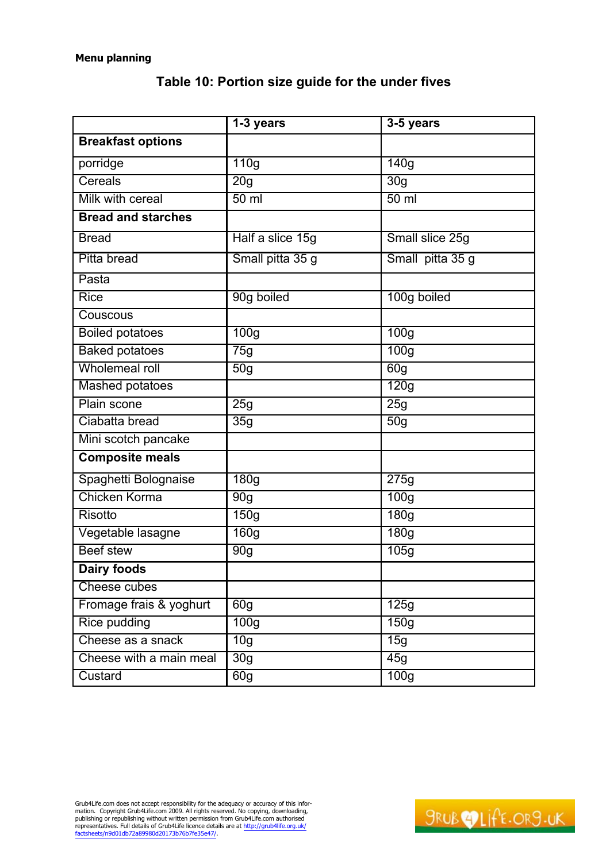|                           | $1-3$ years      | $3-5$ years      |
|---------------------------|------------------|------------------|
| <b>Breakfast options</b>  |                  |                  |
| porridge                  | 110g             | 140g             |
| Cereals                   | 20 <sub>g</sub>  | 30g              |
| Milk with cereal          | 50 <sub>ml</sub> | $50$ ml          |
| <b>Bread and starches</b> |                  |                  |
| <b>Bread</b>              | Half a slice 15g | Small slice 25g  |
| Pitta bread               | Small pitta 35 g | Small pitta 35 g |
| Pasta                     |                  |                  |
| <b>Rice</b>               | 90g boiled       | 100g boiled      |
| Couscous                  |                  |                  |
| <b>Boiled potatoes</b>    | 100g             | 100g             |
| <b>Baked potatoes</b>     | 75g              | 100 <sub>g</sub> |
| Wholemeal roll            | 50 <sub>g</sub>  | 60 <sub>g</sub>  |
| <b>Mashed potatoes</b>    |                  | 120g             |
| Plain scone               | 25g              | 25g              |
| Ciabatta bread            | 35g              | 50g              |
| Mini scotch pancake       |                  |                  |
| <b>Composite meals</b>    |                  |                  |
| Spaghetti Bolognaise      | 180g             | 275g             |
| Chicken Korma             | 90 <sub>g</sub>  | 100 <sub>g</sub> |
| <b>Risotto</b>            | 150g             | 180 <sub>g</sub> |
| Vegetable lasagne         | 160g             | 180g             |
| <b>Beef stew</b>          | 90g              | 105g             |
| <b>Dairy foods</b>        |                  |                  |
| Cheese cubes              |                  |                  |
| Fromage frais & yoghurt   | 60g              | 125g             |
| <b>Rice pudding</b>       | 100 <sub>g</sub> | 150g             |
| Cheese as a snack         | $\overline{10g}$ | 15g              |
| Cheese with a main meal   | 30 <sub>g</sub>  | 45g              |
| Custard                   | 60g              | 100g             |

# **Table 10: Portion size guide for the under fives**

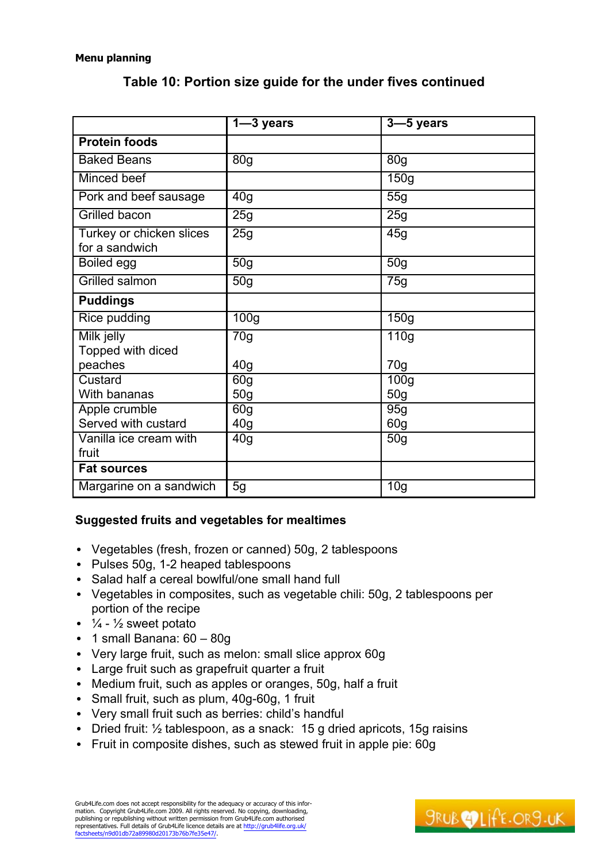|                                            | $1 - 3$ years                      | $3 - 5$ years                        |  |
|--------------------------------------------|------------------------------------|--------------------------------------|--|
| <b>Protein foods</b>                       |                                    |                                      |  |
| <b>Baked Beans</b>                         | 80 <sub>g</sub>                    | 80 <sub>g</sub>                      |  |
| Minced beef                                |                                    | 150g                                 |  |
| Pork and beef sausage                      | $\overline{40}$ g                  | 55g                                  |  |
| <b>Grilled bacon</b>                       | 25g                                | 25g                                  |  |
| Turkey or chicken slices<br>for a sandwich | 25g                                | 45g                                  |  |
| <b>Boiled egg</b>                          | $\overline{50}$ g                  | 50g                                  |  |
| <b>Grilled salmon</b>                      | 50g                                | 75g                                  |  |
| <b>Puddings</b>                            |                                    |                                      |  |
| Rice pudding                               | 100 <sub>g</sub>                   | 150g                                 |  |
| Milk jelly<br>Topped with diced            | 70g                                | 110g                                 |  |
| peaches                                    | 40 <sub>g</sub>                    | 70 <sub>g</sub>                      |  |
| Custard<br>With bananas                    | 60g<br>50 <sub>q</sub>             | $\overline{100g}$<br>50 <sub>q</sub> |  |
| Apple crumble<br>Served with custard       | 60 <sub>q</sub><br>40 <sub>g</sub> | 95g<br>60 <sub>g</sub>               |  |
| Vanilla ice cream with<br>fruit            | 40 <sub>g</sub>                    | 50 <sub>g</sub>                      |  |
| <b>Fat sources</b>                         |                                    |                                      |  |
| Margarine on a sandwich                    | 5g                                 | $\overline{1}0g$                     |  |

# **Table 10: Portion size guide for the under fives continued**

# **Suggested fruits and vegetables for mealtimes**

- Vegetables (fresh, frozen or canned) 50g, 2 tablespoons
- Pulses 50g, 1-2 heaped tablespoons
- Salad half a cereal bowlful/one small hand full
- Vegetables in composites, such as vegetable chili: 50g, 2 tablespoons per portion of the recipe
- $\frac{1}{4}$   $\frac{1}{2}$  sweet potato
- 1 small Banana:  $60 80g$
- Very large fruit, such as melon: small slice approx 60g
- Large fruit such as grapefruit quarter a fruit
- Medium fruit, such as apples or oranges, 50g, half a fruit
- Small fruit, such as plum, 40g-60g, 1 fruit
- Very small fruit such as berries: child's handful
- Dried fruit:  $\frac{1}{2}$  tablespoon, as a snack: 15 g dried apricots, 15g raisins
- Fruit in composite dishes, such as stewed fruit in apple pie: 60g

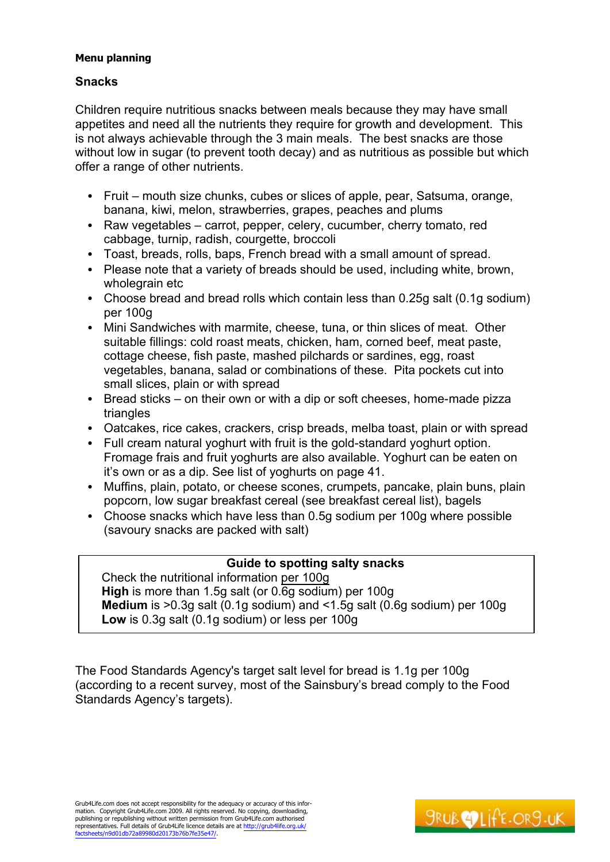# **Snacks**

Children require nutritious snacks between meals because they may have small appetites and need all the nutrients they require for growth and development. This is not always achievable through the 3 main meals. The best snacks are those without low in sugar (to prevent tooth decay) and as nutritious as possible but which offer a range of other nutrients.

- Fruit  $-$  mouth size chunks, cubes or slices of apple, pear, Satsuma, orange, banana, kiwi, melon, strawberries, grapes, peaches and plums
- Raw vegetables  $-$  carrot, pepper, celery, cucumber, cherry tomato, red cabbage, turnip, radish, courgette, broccoli
- Toast, breads, rolls, baps, French bread with a small amount of spread.
- Please note that a variety of breads should be used, including white, brown, wholegrain etc
- Choose bread and bread rolls which contain less than 0.25g salt (0.1g sodium) per 100g
- Mini Sandwiches with marmite, cheese, tuna, or thin slices of meat. Other suitable fillings: cold roast meats, chicken, ham, corned beef, meat paste, cottage cheese, fish paste, mashed pilchards or sardines, egg, roast vegetables, banana, salad or combinations of these. Pita pockets cut into small slices, plain or with spread
- Bread sticks  $-$  on their own or with a dip or soft cheeses, home-made pizza triangles
- Oatcakes, rice cakes, crackers, crisp breads, melba toast, plain or with spread
- Full cream natural yoghurt with fruit is the gold-standard yoghurt option. Fromage frais and fruit yoghurts are also available. Yoghurt can be eaten on it's own or as a dip. See list of yoghurts on page 41.
- Muffins, plain, potato, or cheese scones, crumpets, pancake, plain buns, plain popcorn, low sugar breakfast cereal (see breakfast cereal list), bagels
- Choose snacks which have less than 0.5g sodium per 100g where possible (savoury snacks are packed with salt)

# **Guide to spotting salty snacks**

Check the nutritional information per 100g **High** is more than 1.5g salt (or 0.6g sodium) per 100g **Medium** is >0.3g salt (0.1g sodium) and <1.5g salt (0.6g sodium) per 100g **Low** is 0.3g salt (0.1g sodium) or less per 100g

The Food Standards Agency's target salt level for bread is 1.1g per 100g (according to a recent survey, most of the Sainsbury's bread comply to the Food Standards Agency's targets).

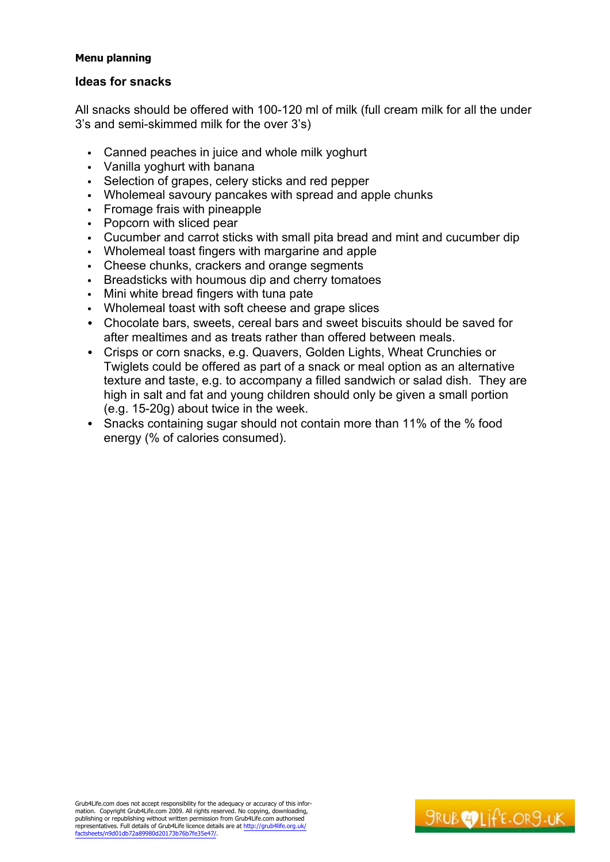# **Ideas for snacks**

All snacks should be offered with 100-120 ml of milk (full cream milk for all the under 3's and semi-skimmed milk for the over 3's)

- Canned peaches in juice and whole milk yoghurt
- Vanilla yoghurt with banana
- Selection of grapes, celery sticks and red pepper
- Wholemeal savoury pancakes with spread and apple chunks
- Fromage frais with pineapple
- Popcorn with sliced pear
- Cucumber and carrot sticks with small pita bread and mint and cucumber dip
- Wholemeal toast fingers with margarine and apple
- Cheese chunks, crackers and orange segments
- Breadsticks with houmous dip and cherry tomatoes
- Mini white bread fingers with tuna pate
- Wholemeal toast with soft cheese and grape slices
- Chocolate bars, sweets, cereal bars and sweet biscuits should be saved for after mealtimes and as treats rather than offered between meals.
- Crisps or corn snacks, e.g. Quavers, Golden Lights, Wheat Crunchies or Twiglets could be offered as part of a snack or meal option as an alternative texture and taste, e.g. to accompany a filled sandwich or salad dish. They are high in salt and fat and young children should only be given a small portion (e.g. 15-20g) about twice in the week.
- Snacks containing sugar should not contain more than 11% of the % food energy (% of calories consumed).

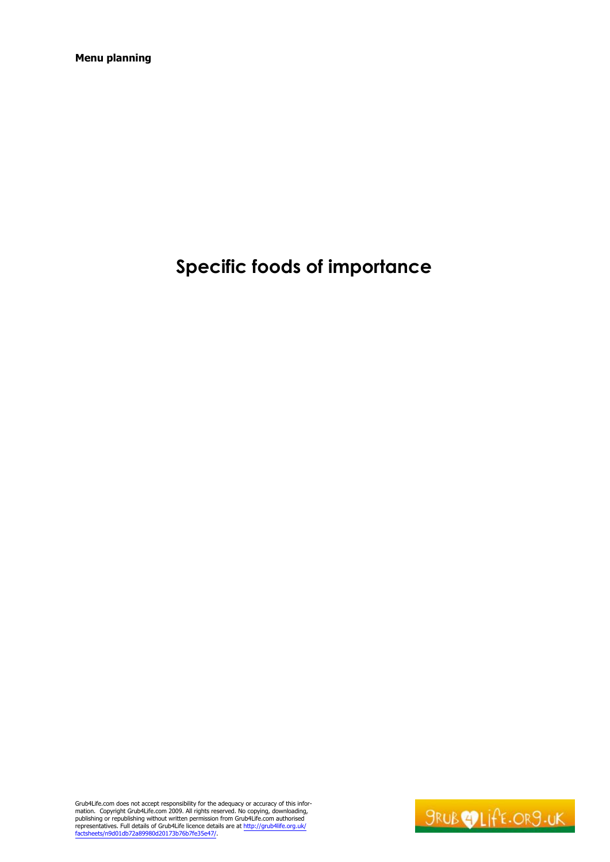# **Specific foods of importance**

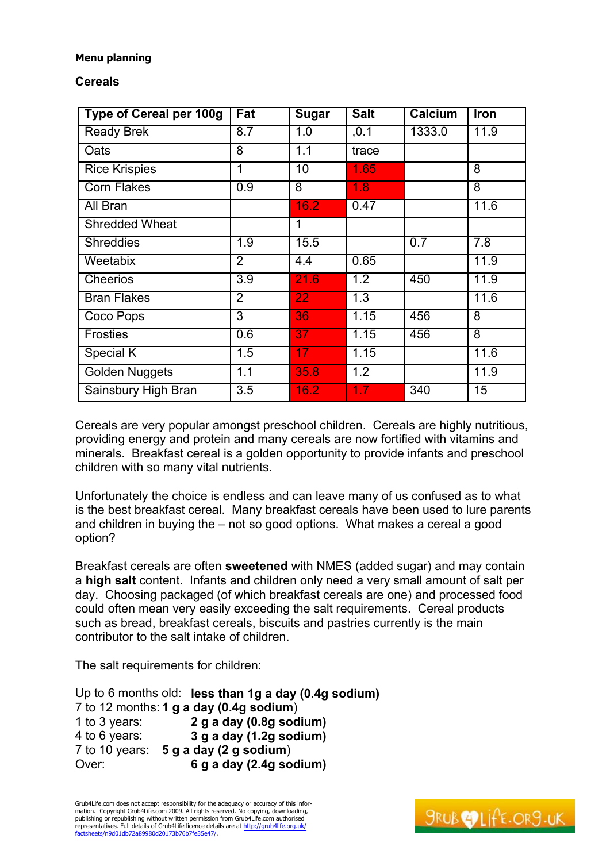# **Cereals**

| <b>Type of Cereal per 100g</b> | Fat              | <b>Sugar</b>    | <b>Salt</b>      | <b>Calcium</b> | Iron           |
|--------------------------------|------------------|-----------------|------------------|----------------|----------------|
| <b>Ready Brek</b>              | 8.7              | 1.0             | , 0.1            | 1333.0         | 11.9           |
| Oats                           | 8                | 1.1             | trace            |                |                |
| <b>Rice Krispies</b>           | 1                | 10              | 1.65             |                | 8              |
| <b>Corn Flakes</b>             | $\overline{0.9}$ | 8               | 1.8              |                | 8              |
| All Bran                       |                  | 16.2            | 0.47             |                | 11.6           |
| <b>Shredded Wheat</b>          |                  | $\mathbf 1$     |                  |                |                |
| <b>Shreddies</b>               | 1.9              | 15.5            |                  | 0.7            | 7.8            |
| Weetabix                       | $\overline{2}$   | 4.4             | 0.65             |                | 11.9           |
| <b>Cheerios</b>                | $\overline{3.9}$ | 21.6            | $\overline{1.2}$ | 450            | 11.9           |
| <b>Bran Flakes</b>             | $\overline{2}$   | 22              | 1.3              |                | 11.6           |
| Coco Pops                      | 3                | 36              | 1.15             | 456            | $\overline{8}$ |
| <b>Frosties</b>                | 0.6              | 37              | 1.15             | 456            | $\overline{8}$ |
| Special K                      | 1.5              | 17 <sub>1</sub> | 1.15             |                | 11.6           |
| <b>Golden Nuggets</b>          | 1.1              | 35.8            | 1.2              |                | 11.9           |
| Sainsbury High Bran            | 3.5              | 16.2            | 1.7              | 340            | 15             |

Cereals are very popular amongst preschool children. Cereals are highly nutritious, providing energy and protein and many cereals are now fortified with vitamins and minerals. Breakfast cereal is a golden opportunity to provide infants and preschool children with so many vital nutrients.

Unfortunately the choice is endless and can leave many of us confused as to what is the best breakfast cereal. Many breakfast cereals have been used to lure parents and children in buying the  $-$  not so good options. What makes a cereal a good option?

Breakfast cereals are often **sweetened** with NMES (added sugar) and may contain a **high salt** content. Infants and children only need a very small amount of salt per day. Choosing packaged (of which breakfast cereals are one) and processed food could often mean very easily exceeding the salt requirements. Cereal products such as bread, breakfast cereals, biscuits and pastries currently is the main contributor to the salt intake of children.

The salt requirements for children:

Up to 6 months old: **less than 1g a day (0.4g sodium)** 7 to 12 months: **1 g a day (0.4g sodium**) 1 to 3 years: **2 g a day (0.8g sodium)** 4 to 6 years: **3 g a day (1.2g sodium)** 7 to 10 years: **5 g a day (2 g sodium**) Over: **6 g a day (2.4g sodium)**

Grub4Life.com does not accept responsibility for the adequacy or accuracy of this information. Copyright Grub4Life.com 2009. All rights reserved. No copying, downloading, publishing or republishing without written permission from Grub4Life.com authorised representatives. Full details of Grub4Life licence details are at <http://grub4life.org.uk/> factsheets/n9d01db72a89980d20173b76b7fe35e47/.

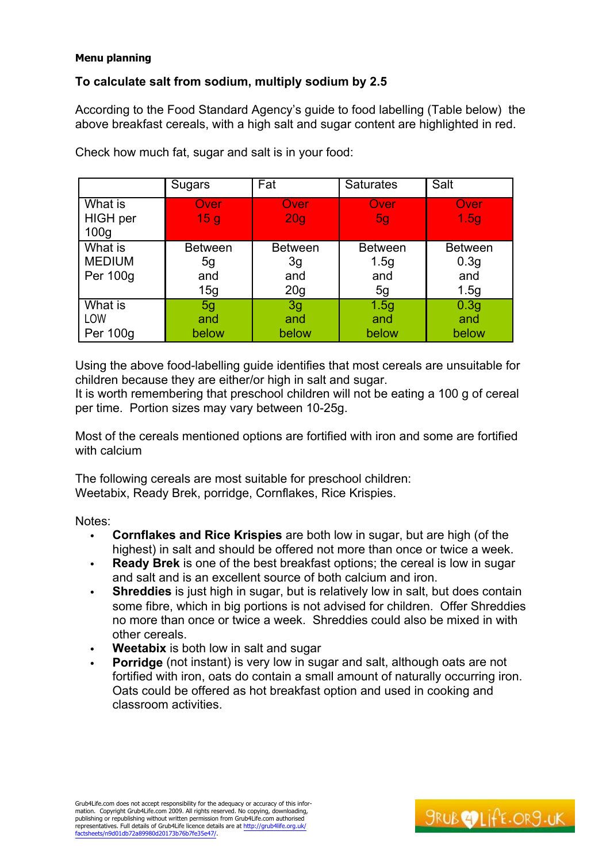# **To calculate salt from sodium, multiply sodium by 2.5**

According to the Food Standard Agency's guide to food labelling (Table below) the above breakfast cereals, with a high salt and sugar content are highlighted in red.

|                                                | Sugars                             | Fat                                | <b>Saturates</b>                    | Salt                                              |
|------------------------------------------------|------------------------------------|------------------------------------|-------------------------------------|---------------------------------------------------|
| What is<br><b>HIGH</b> per<br>100 <sub>g</sub> | Over<br>15 <sub>g</sub>            | Over<br>20 <sub>g</sub>            | Over<br><b>5g</b>                   | Over<br>1.5 <sub>g</sub>                          |
| What is<br><b>MEDIUM</b><br><b>Per 100g</b>    | <b>Between</b><br>5g<br>and<br>15g | <b>Between</b><br>3g<br>and<br>20g | <b>Between</b><br>1.5g<br>and<br>5g | <b>Between</b><br>0.3 <sub>g</sub><br>and<br>1.5g |
| What is<br>LOW<br><b>Per 100g</b>              | 5g<br>and<br>below                 | 3g<br>and<br>below                 | 1.5g<br>and<br>below                | 0.3 <sub>g</sub><br>and<br>below                  |

Check how much fat, sugar and salt is in your food:

Using the above food-labelling guide identifies that most cereals are unsuitable for children because they are either/or high in salt and sugar.

It is worth remembering that preschool children will not be eating a 100 g of cereal per time. Portion sizes may vary between 10-25g.

Most of the cereals mentioned options are fortified with iron and some are fortified with calcium

The following cereals are most suitable for preschool children: Weetabix, Ready Brek, porridge, Cornflakes, Rice Krispies.

Notes:

- **Cornflakes and Rice Krispies** are both low in sugar, but are high (of the highest) in salt and should be offered not more than once or twice a week.
- **Ready Brek** is one of the best breakfast options; the cereal is low in sugar and salt and is an excellent source of both calcium and iron.
- **Shreddies** is just high in sugar, but is relatively low in salt, but does contain some fibre, which in big portions is not advised for children. Offer Shreddies no more than once or twice a week. Shreddies could also be mixed in with other cereals.
- **Weetabix** is both low in salt and sugar
- **Porridge** (not instant) is very low in sugar and salt, although oats are not fortified with iron, oats do contain a small amount of naturally occurring iron. Oats could be offered as hot breakfast option and used in cooking and classroom activities.

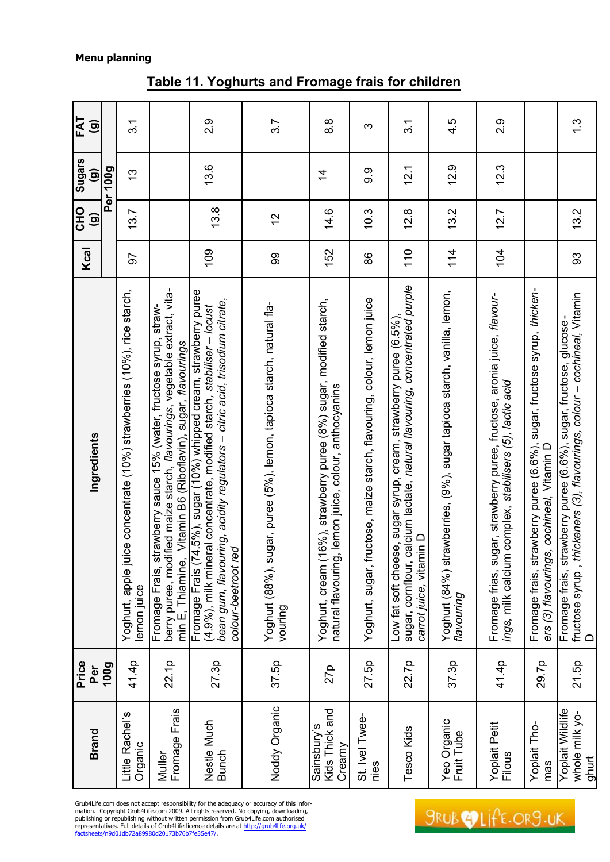#### factsheets/n9d01db72a89980d20173b76b7fe35e47/. **Brand Price Per 100g Ingredients Kcal CHO (g) Sugars (g) FAT (g) Per 100g** Little Rachel¶s Organic 41.4p Yoghurt, apple juice concentrate (10%) strawberries (10%), rice starch, lemon juice 97 13.7 13 3.1 Muller Fromage Frais 22.1p Fromage Frais, strawberry sauce 15% (water, fructose syrup, straw- berry puree, modified maize starch, *flavourings*, vegetable extract, vita- min E, Thiamine, Vitamin B6 (Riboflavin), sugar, *flavourings* Nestle Much Bunch 27.3p Fromage Frais (74.5%), sugar (10%) whipped cream, strawberry puree (4.9%), milk mineral concentrate, modified starch*, stabiliser*   $\ddot{3}$  $\frac{8}{3}$ 4.5  $2.9$  $3.7$  $\overline{3}$  $|109|$   $|13.8|$   $|2.9|$ Noddy Organic 37.5p Yoghurt (88%), sugar, puree (5%), lemon, tapioca starch, natural fla- so so 12 12 12 3.7<br>Noddy Organic 37.5p vouring 27p Yoghurt, cream (16%), strawberry puree (8%) sugar, modified starch, natural flavouring, lemon juice, colour, anthocyanins 152 14.6 14 8.8 Fruit Tube 37.3p Yoghurt (84%) strawberries, (9%), sugar tapioca starch, vanilla, lemon, *flavouring* 114 13.2 12.9 4.5 Filous 41.4p Fromage frias, sugar, strawberry puree, fructose, aronia juice, *flavour- ings,* milk calcium complex, *stabilisers (5), lactic acid* 104 12.7 12.3 2.9 93 13.2 1.3  $\infty$ 110 12.8 12.1 3.1  $12.9$  $12.3$  $\overline{2.1}$  $9.9$  $\overline{4}$ o:::''v''' '''''' 27.5p | Yoghurt, sugar, fructose, maize starch, flavouring, colour, lemon juice | 86 | 10.3 | 9.9<br>nies  $12.7$  $\circ$ က  $\infty$  $\mathbf{N}$  $\mathbf{\Omega}$  $\overline{a}$  $\overline{4}$  $\dot{q}$  $\overline{Q}$ <u>ന്</u> <u>რ</u>  $110$  $114$ 52  $\overline{a}$ 99 88 33 sugar, cornflour, calcium lactate, natural flavouring, concentrated purple sugar, cornflour, calcium lactate, *natural flavouring, concentrated purple*  mas 29.7p Fromage frais, strawberry puree (6.6%), sugar, fructose syrup, *thicken- ers (3) flavourings, cochineal,* Vitamin D *± cochineal,* Vitamin Yoghurt (84%) strawberries, (9%), sugar tapioca starch, vanilla, lemon, Fromage frais, strawberry puree (6.6%), sugar, fructose syrup, thickenfructose syrup , *thickeners (3), flavourings, colour – cochineal,* Vitamin<br>D Fromage frias, sugar, strawberry puree, fructose, aronia juice, flavour-*± citric acid, trisodium citrate,*  Yoghurt, sugar, fructose, maize starch, flavouring, colour, lemon juice *(*4.9%), milk mineral concentrate, modified starch, stabiliser – locust<br>bean gum, flavouring, acidity regulators – citric acid, trisodium citrate Yoghurt, cream (16%), strawberry puree (8%) sugar, modified starch Yoghurt (88%), sugar, puree (5%), lemon, tapioca starch, natural fla-Low fat soft cheese, sugar syrup, cream, strawberry puree (6.5%), Fromage frais, strawberry puree (6.6%), sugar, fructose, glucose-Low fat soft cheese, sugar syrup, cream, strawberry puree (6.5%) Fromage frais, strawberry puree (6.6%), sugar, fructose, glucose- fructose syrup , *thickeners (3), flavourings, colour*  ings, milk calcium complex, stabilisers (5), lactic acid atural flavouring, lemon juice, colour, anthocyanins *bean gum, flavouring, acidity regulators*  ers (3) flavourings, cochineal, Vitamin D carrot juice, vitamin D *carrot juice,* vitamin D *colour-beetroot red* flavouring vouring 29.7p  $37.5p$ 27.5p 22.7p 37.3p 41.4p whole milk yo- 21.5p<br>ahurt Tesco Kids 22.7p 27p Noddy Organic Kids Thick and Yoplait Wildlife Kids Thick and Yoplait Wildlife whole milk yo-Yeo Organic<br>Fruit Tube St. Ivel Twee-St. Ivel Twee-Yeo Organic Yoplait Petit Sainsbury's Sainsbury's Yoplait Tho-Kids Yoplait Petit Yoplait Tho-**Creamy** Filous Tesco mas nies

# **Table 11. Yoghurts and Fromage frais for children**

Grub4Life.com does not accept responsibility for the adequacy or accuracy of this infor-<br>mation. Copyright Grub4Life.com 2009. All rights reserved. No copying, downloading,<br>publishing or republishing without written permi representatives. Full details of Grub4Life licence details are at <http://grub4life.org.uk/><br>factsheets/n9d01db72a89980d20173b76b7fe35e47/.

# **SRUBOLIFE.ORS.UK**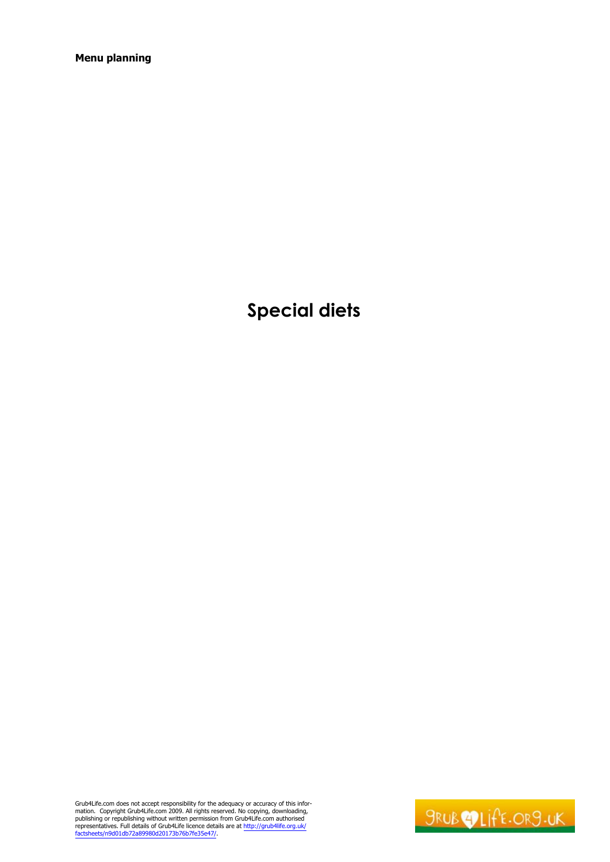**Special diets**

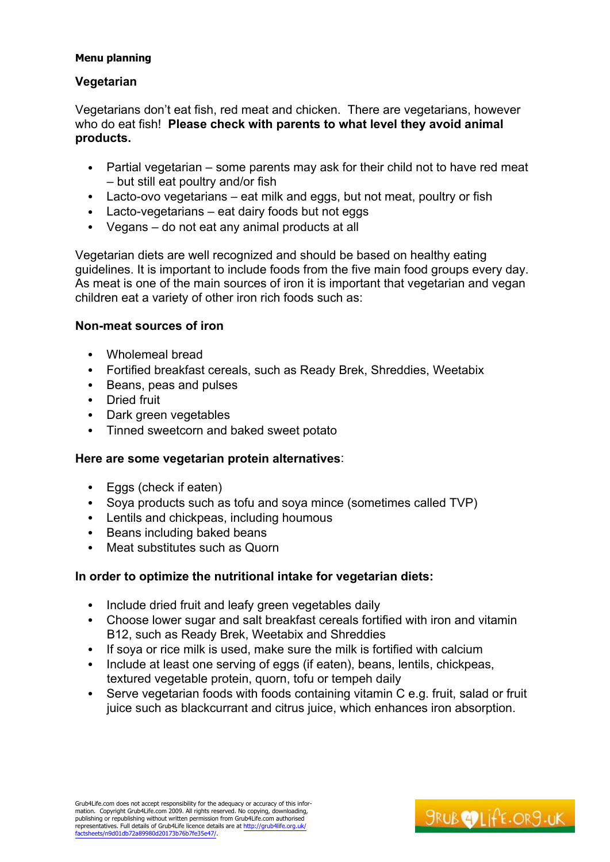# **Vegetarian**

Vegetarians don't eat fish, red meat and chicken. There are vegetarians, however who do eat fish! **Please check with parents to what level they avoid animal products.** 

- Partial vegetarian  $-$  some parents may ask for their child not to have red meat  $-$  but still eat poultry and/or fish
- $\bullet$  Lacto-ovo vegetarians  $-$  eat milk and eggs, but not meat, poultry or fish
- $\bullet$  Lacto-vegetarians  $-$  eat dairy foods but not eggs
- $\bullet$  Vegans  $-$  do not eat any animal products at all

Vegetarian diets are well recognized and should be based on healthy eating guidelines. It is important to include foods from the five main food groups every day. As meat is one of the main sources of iron it is important that vegetarian and vegan children eat a variety of other iron rich foods such as:

# **Non-meat sources of iron**

- Wholemeal bread
- Fortified breakfast cereals, such as Ready Brek, Shreddies, Weetabix
- Beans, peas and pulses
- Dried fruit
- Dark green vegetables
- Tinned sweetcorn and baked sweet potato

# **Here are some vegetarian protein alternatives**:

- Eggs (check if eaten)
- Soya products such as tofu and soya mince (sometimes called TVP)
- Lentils and chickpeas, including houmous
- Beans including baked beans
- Meat substitutes such as Quorn

# **In order to optimize the nutritional intake for vegetarian diets:**

- Include dried fruit and leafy green vegetables daily
- Choose lower sugar and salt breakfast cereals fortified with iron and vitamin B12, such as Ready Brek, Weetabix and Shreddies
- If soya or rice milk is used, make sure the milk is fortified with calcium
- Include at least one serving of eggs (if eaten), beans, lentils, chickpeas, textured vegetable protein, quorn, tofu or tempeh daily
- Serve vegetarian foods with foods containing vitamin C e.g. fruit, salad or fruit juice such as blackcurrant and citrus juice, which enhances iron absorption.